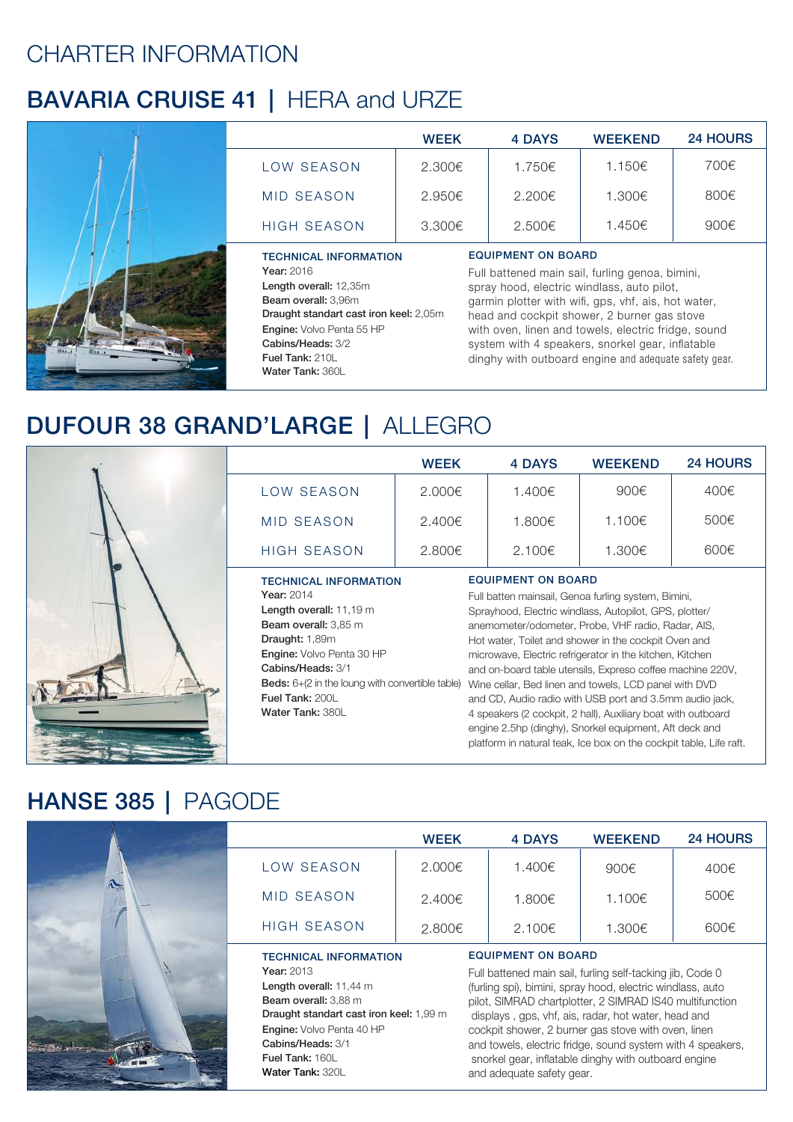## CHARTER INFORMATION

# BAVARIA CRUISE 41 | HERA and URZE



|                    | <b>WEEK</b>      | <b>4 DAYS</b> | <b>WEEKEND</b> | <b>24 HOURS</b> |
|--------------------|------------------|---------------|----------------|-----------------|
| LOW SEASON         | 2.300€           | 1.750€        | 1.150€         | 700€            |
| MID SEASON         | 2.950€           | 2.200€        | 1.300€         | 800€            |
| <b>HIGH SEASON</b> | $3.300 \epsilon$ | 2.500€        | 1.450€         | 900€            |
|                    |                  |               |                |                 |

#### TECHNICAL INFORMATION Year: 2016

Length overall: 12,35m Beam overall: 3,96m Draught standart cast iron keel: 2,05m Engine: Volvo Penta 55 HP Cabins/Heads: 3/2 Fuel Tank: 210L Water Tank: 360L

### EQUIPMENT ON BOARD

Full battened main sail, furling genoa, bimini, spray hood, electric windlass, auto pilot, garmin plotter with wifi, gps, vhf, ais, hot water, head and cockpit shower, 2 burner gas stove with oven, linen and towels, electric fridge, sound system with 4 speakers, snorkel gear, inflatable dinghy with outboard engine and adequate safety gear.

platform in natural teak, Ice box on the cockpit table, Life raft.

## DUFOUR 38 GRAND'LARGE | ALLEGRO



|                                                                                                                                                                                                                                                                                     | WEEK   | <b>4 DAYS</b>                                                                                                                                                                                                                                                                                                                                                                                                                                                                                                                                                                                                                   | <b>WEEKEND</b> | <b>24 HOURS</b> |  |
|-------------------------------------------------------------------------------------------------------------------------------------------------------------------------------------------------------------------------------------------------------------------------------------|--------|---------------------------------------------------------------------------------------------------------------------------------------------------------------------------------------------------------------------------------------------------------------------------------------------------------------------------------------------------------------------------------------------------------------------------------------------------------------------------------------------------------------------------------------------------------------------------------------------------------------------------------|----------------|-----------------|--|
| LOW SEASON                                                                                                                                                                                                                                                                          | 2.000€ | 1.400€                                                                                                                                                                                                                                                                                                                                                                                                                                                                                                                                                                                                                          | 900€           | 400€            |  |
| <b>MID SEASON</b>                                                                                                                                                                                                                                                                   | 2.400€ | 1.800€                                                                                                                                                                                                                                                                                                                                                                                                                                                                                                                                                                                                                          | 1.100€         | 500€            |  |
| <b>HIGH SEASON</b>                                                                                                                                                                                                                                                                  | 2,800€ | 2.100€                                                                                                                                                                                                                                                                                                                                                                                                                                                                                                                                                                                                                          | 1.300€         | 600€            |  |
| <b>TECHNICAL INFORMATION</b><br>Year: 2014<br>Length overall: 11,19 m<br><b>Beam overall:</b> 3,85 m<br>Draught: 1,89m<br><b>Engine:</b> Volvo Penta 30 HP<br>Cabins/Heads: 3/1<br><b>Beds:</b> $6+(2)$ in the loung with convertible table)<br>Fuel Tank: 200L<br>Water Tank: 380L |        | <b>EQUIPMENT ON BOARD</b><br>Full batten mainsail, Genoa furling system, Bimini,<br>Sprayhood, Electric windlass, Autopilot, GPS, plotter/<br>anemometer/odometer, Probe, VHF radio, Radar, AIS,<br>Hot water, Toilet and shower in the cockpit Oven and<br>microwave, Electric refrigerator in the kitchen, Kitchen<br>and on-board table utensils, Expreso coffee machine 220V,<br>Wine cellar, Bed linen and towels, LCD panel with DVD<br>and CD, Audio radio with USB port and 3.5mm audio jack,<br>4 speakers (2 cockpit, 2 hall), Auxiliary boat with outboard<br>engine 2.5hp (dinghy), Snorkel equipment, Aft deck and |                |                 |  |

## HANSE 385 | PAGODE

|                                                                                                                                                                                                                                          | <b>WEEK</b> | 4 DAYS                                                                                                                                                                                                                                                                                                                                                                                                                                                                           | <b>WEEKEND</b> | <b>24 HOURS</b> |
|------------------------------------------------------------------------------------------------------------------------------------------------------------------------------------------------------------------------------------------|-------------|----------------------------------------------------------------------------------------------------------------------------------------------------------------------------------------------------------------------------------------------------------------------------------------------------------------------------------------------------------------------------------------------------------------------------------------------------------------------------------|----------------|-----------------|
| LOW SEASON                                                                                                                                                                                                                               | 2.000€      | 1.400€                                                                                                                                                                                                                                                                                                                                                                                                                                                                           | 900€           | 400€            |
| <b>MID SEASON</b>                                                                                                                                                                                                                        | 2.400€      | 1.800€                                                                                                                                                                                                                                                                                                                                                                                                                                                                           | 1.100€         | 500€            |
| <b>HIGH SEASON</b>                                                                                                                                                                                                                       | 2.800€      | 2.100€                                                                                                                                                                                                                                                                                                                                                                                                                                                                           | 1.300€         | 600€            |
| <b>TECHNICAL INFORMATION</b><br><b>Year: 2013</b><br>Length overall: 11,44 m<br>Beam overall: 3,88 m<br>Draught standart cast iron keel: 1,99 m<br>Engine: Volvo Penta 40 HP<br>Cabins/Heads: 3/1<br>Fuel Tank: 160L<br>Water Tank: 320L |             | <b>EQUIPMENT ON BOARD</b><br>Full battened main sail, furling self-tacking jib, Code 0<br>(furling spi), bimini, spray hood, electric windlass, auto<br>pilot, SIMRAD chartplotter, 2 SIMRAD IS40 multifunction<br>displays, gps, vhf, ais, radar, hot water, head and<br>cockpit shower, 2 burner gas stove with oven, linen<br>and towels, electric fridge, sound system with 4 speakers,<br>snorkel gear, inflatable dinghy with outboard engine<br>and adequate safety gear. |                |                 |